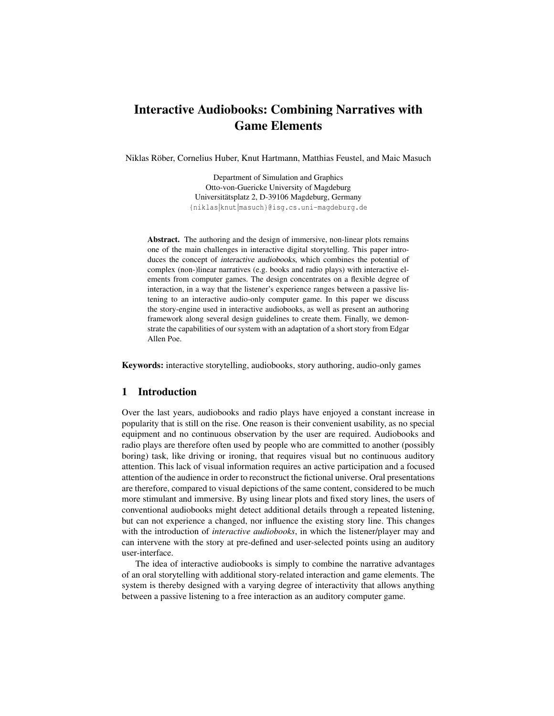# Interactive Audiobooks: Combining Narratives with Game Elements

Niklas Röber, Cornelius Huber, Knut Hartmann, Matthias Feustel, and Maic Masuch

Department of Simulation and Graphics Otto-von-Guericke University of Magdeburg Universitätsplatz 2, D-39106 Magdeburg, Germany {niklas|knut|masuch}@isg.cs.uni-magdeburg.de

Abstract. The authoring and the design of immersive, non-linear plots remains one of the main challenges in interactive digital storytelling. This paper introduces the concept of interactive audiobooks, which combines the potential of complex (non-)linear narratives (e.g. books and radio plays) with interactive elements from computer games. The design concentrates on a flexible degree of interaction, in a way that the listener's experience ranges between a passive listening to an interactive audio-only computer game. In this paper we discuss the story-engine used in interactive audiobooks, as well as present an authoring framework along several design guidelines to create them. Finally, we demonstrate the capabilities of our system with an adaptation of a short story from Edgar Allen Poe.

Keywords: interactive storytelling, audiobooks, story authoring, audio-only games

# 1 Introduction

Over the last years, audiobooks and radio plays have enjoyed a constant increase in popularity that is still on the rise. One reason is their convenient usability, as no special equipment and no continuous observation by the user are required. Audiobooks and radio plays are therefore often used by people who are committed to another (possibly boring) task, like driving or ironing, that requires visual but no continuous auditory attention. This lack of visual information requires an active participation and a focused attention of the audience in order to reconstruct the fictional universe. Oral presentations are therefore, compared to visual depictions of the same content, considered to be much more stimulant and immersive. By using linear plots and fixed story lines, the users of conventional audiobooks might detect additional details through a repeated listening, but can not experience a changed, nor influence the existing story line. This changes with the introduction of *interactive audiobooks*, in which the listener/player may and can intervene with the story at pre-defined and user-selected points using an auditory user-interface.

The idea of interactive audiobooks is simply to combine the narrative advantages of an oral storytelling with additional story-related interaction and game elements. The system is thereby designed with a varying degree of interactivity that allows anything between a passive listening to a free interaction as an auditory computer game.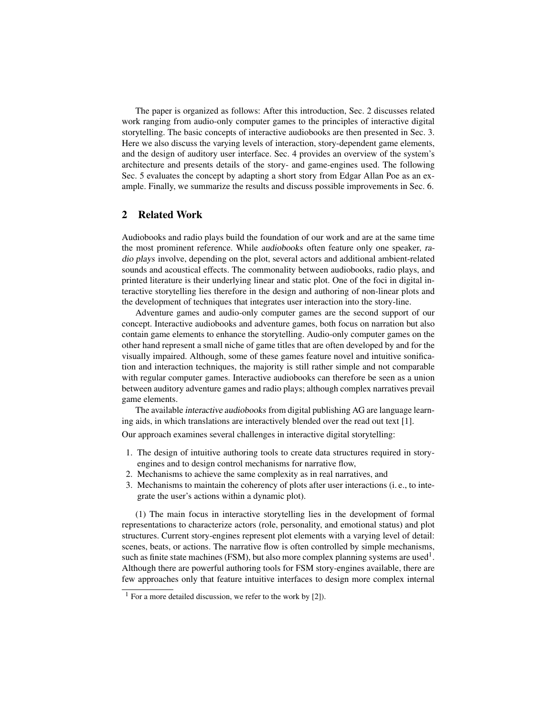The paper is organized as follows: After this introduction, Sec. 2 discusses related work ranging from audio-only computer games to the principles of interactive digital storytelling. The basic concepts of interactive audiobooks are then presented in Sec. 3. Here we also discuss the varying levels of interaction, story-dependent game elements, and the design of auditory user interface. Sec. 4 provides an overview of the system's architecture and presents details of the story- and game-engines used. The following Sec. 5 evaluates the concept by adapting a short story from Edgar Allan Poe as an example. Finally, we summarize the results and discuss possible improvements in Sec. 6.

## 2 Related Work

Audiobooks and radio plays build the foundation of our work and are at the same time the most prominent reference. While audiobooks often feature only one speaker, radio plays involve, depending on the plot, several actors and additional ambient-related sounds and acoustical effects. The commonality between audiobooks, radio plays, and printed literature is their underlying linear and static plot. One of the foci in digital interactive storytelling lies therefore in the design and authoring of non-linear plots and the development of techniques that integrates user interaction into the story-line.

Adventure games and audio-only computer games are the second support of our concept. Interactive audiobooks and adventure games, both focus on narration but also contain game elements to enhance the storytelling. Audio-only computer games on the other hand represent a small niche of game titles that are often developed by and for the visually impaired. Although, some of these games feature novel and intuitive sonification and interaction techniques, the majority is still rather simple and not comparable with regular computer games. Interactive audiobooks can therefore be seen as a union between auditory adventure games and radio plays; although complex narratives prevail game elements.

The available interactive audiobooks from digital publishing AG are language learning aids, in which translations are interactively blended over the read out text [1].

Our approach examines several challenges in interactive digital storytelling:

- 1. The design of intuitive authoring tools to create data structures required in storyengines and to design control mechanisms for narrative flow,
- 2. Mechanisms to achieve the same complexity as in real narratives, and
- 3. Mechanisms to maintain the coherency of plots after user interactions (i. e., to integrate the user's actions within a dynamic plot).

(1) The main focus in interactive storytelling lies in the development of formal representations to characterize actors (role, personality, and emotional status) and plot structures. Current story-engines represent plot elements with a varying level of detail: scenes, beats, or actions. The narrative flow is often controlled by simple mechanisms, such as finite state machines (FSM), but also more complex planning systems are used<sup>1</sup>. Although there are powerful authoring tools for FSM story-engines available, there are few approaches only that feature intuitive interfaces to design more complex internal

<sup>&</sup>lt;sup>1</sup> For a more detailed discussion, we refer to the work by [2]).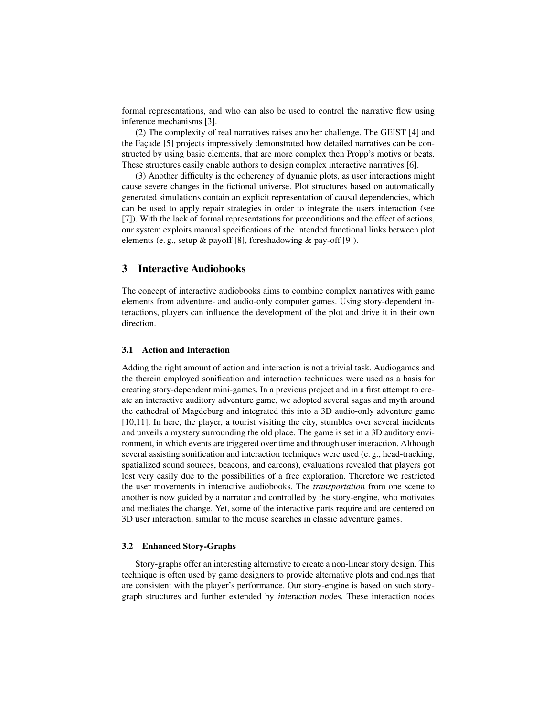formal representations, and who can also be used to control the narrative flow using inference mechanisms [3].

(2) The complexity of real narratives raises another challenge. The GEIST [4] and the Façade [5] projects impressively demonstrated how detailed narratives can be constructed by using basic elements, that are more complex then Propp's motivs or beats. These structures easily enable authors to design complex interactive narratives [6].

(3) Another difficulty is the coherency of dynamic plots, as user interactions might cause severe changes in the fictional universe. Plot structures based on automatically generated simulations contain an explicit representation of causal dependencies, which can be used to apply repair strategies in order to integrate the users interaction (see [7]). With the lack of formal representations for preconditions and the effect of actions, our system exploits manual specifications of the intended functional links between plot elements (e. g., setup & payoff [8], foreshadowing & pay-off [9]).

# 3 Interactive Audiobooks

The concept of interactive audiobooks aims to combine complex narratives with game elements from adventure- and audio-only computer games. Using story-dependent interactions, players can influence the development of the plot and drive it in their own direction.

#### 3.1 Action and Interaction

Adding the right amount of action and interaction is not a trivial task. Audiogames and the therein employed sonification and interaction techniques were used as a basis for creating story-dependent mini-games. In a previous project and in a first attempt to create an interactive auditory adventure game, we adopted several sagas and myth around the cathedral of Magdeburg and integrated this into a 3D audio-only adventure game [10,11]. In here, the player, a tourist visiting the city, stumbles over several incidents and unveils a mystery surrounding the old place. The game is set in a 3D auditory environment, in which events are triggered over time and through user interaction. Although several assisting sonification and interaction techniques were used (e. g., head-tracking, spatialized sound sources, beacons, and earcons), evaluations revealed that players got lost very easily due to the possibilities of a free exploration. Therefore we restricted the user movements in interactive audiobooks. The *transportation* from one scene to another is now guided by a narrator and controlled by the story-engine, who motivates and mediates the change. Yet, some of the interactive parts require and are centered on 3D user interaction, similar to the mouse searches in classic adventure games.

#### 3.2 Enhanced Story-Graphs

Story-graphs offer an interesting alternative to create a non-linear story design. This technique is often used by game designers to provide alternative plots and endings that are consistent with the player's performance. Our story-engine is based on such storygraph structures and further extended by interaction nodes. These interaction nodes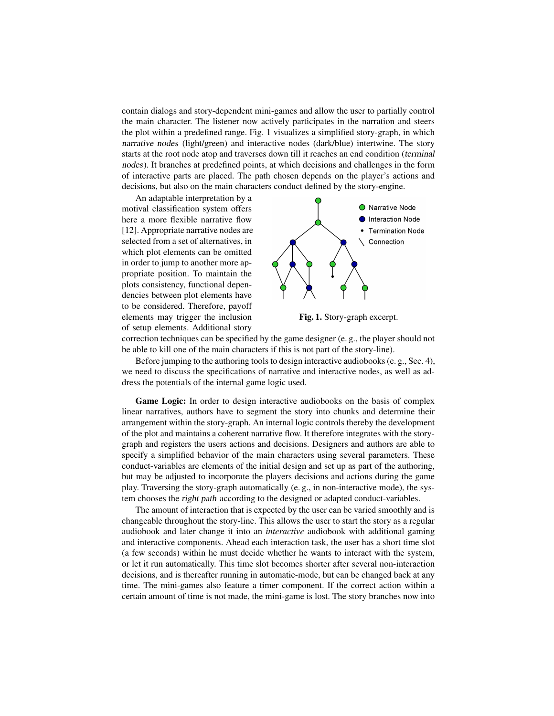contain dialogs and story-dependent mini-games and allow the user to partially control the main character. The listener now actively participates in the narration and steers the plot within a predefined range. Fig. 1 visualizes a simplified story-graph, in which narrative nodes (light/green) and interactive nodes (dark/blue) intertwine. The story starts at the root node atop and traverses down till it reaches an end condition (terminal nodes). It branches at predefined points, at which decisions and challenges in the form of interactive parts are placed. The path chosen depends on the player's actions and decisions, but also on the main characters conduct defined by the story-engine.

An adaptable interpretation by a motival classification system offers here a more flexible narrative flow [12]. Appropriate narrative nodes are selected from a set of alternatives, in which plot elements can be omitted in order to jump to another more appropriate position. To maintain the plots consistency, functional dependencies between plot elements have to be considered. Therefore, payoff elements may trigger the inclusion of setup elements. Additional story



Fig. 1. Story-graph excerpt.

correction techniques can be specified by the game designer (e. g., the player should not be able to kill one of the main characters if this is not part of the story-line).

Before jumping to the authoring tools to design interactive audiobooks (e. g., Sec. 4), we need to discuss the specifications of narrative and interactive nodes, as well as address the potentials of the internal game logic used.

Game Logic: In order to design interactive audiobooks on the basis of complex linear narratives, authors have to segment the story into chunks and determine their arrangement within the story-graph. An internal logic controls thereby the development of the plot and maintains a coherent narrative flow. It therefore integrates with the storygraph and registers the users actions and decisions. Designers and authors are able to specify a simplified behavior of the main characters using several parameters. These conduct-variables are elements of the initial design and set up as part of the authoring, but may be adjusted to incorporate the players decisions and actions during the game play. Traversing the story-graph automatically (e. g., in non-interactive mode), the system chooses the right path according to the designed or adapted conduct-variables.

The amount of interaction that is expected by the user can be varied smoothly and is changeable throughout the story-line. This allows the user to start the story as a regular audiobook and later change it into an *interactive* audiobook with additional gaming and interactive components. Ahead each interaction task, the user has a short time slot (a few seconds) within he must decide whether he wants to interact with the system, or let it run automatically. This time slot becomes shorter after several non-interaction decisions, and is thereafter running in automatic-mode, but can be changed back at any time. The mini-games also feature a timer component. If the correct action within a certain amount of time is not made, the mini-game is lost. The story branches now into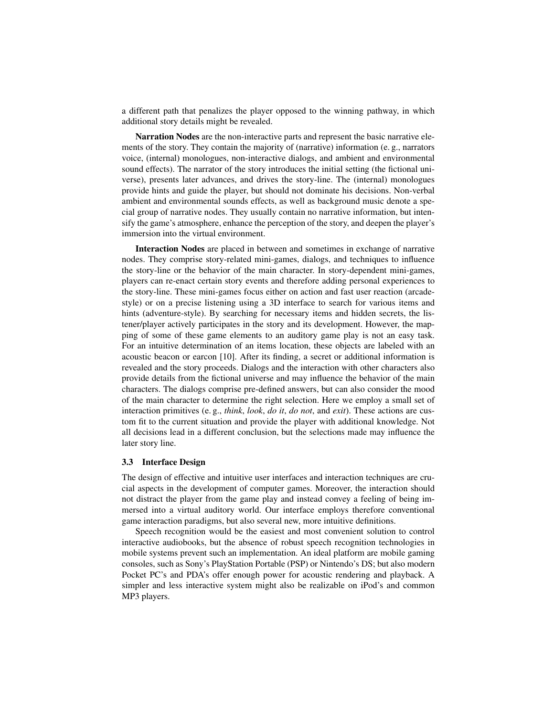a different path that penalizes the player opposed to the winning pathway, in which additional story details might be revealed.

Narration Nodes are the non-interactive parts and represent the basic narrative elements of the story. They contain the majority of (narrative) information (e. g., narrators voice, (internal) monologues, non-interactive dialogs, and ambient and environmental sound effects). The narrator of the story introduces the initial setting (the fictional universe), presents later advances, and drives the story-line. The (internal) monologues provide hints and guide the player, but should not dominate his decisions. Non-verbal ambient and environmental sounds effects, as well as background music denote a special group of narrative nodes. They usually contain no narrative information, but intensify the game's atmosphere, enhance the perception of the story, and deepen the player's immersion into the virtual environment.

Interaction Nodes are placed in between and sometimes in exchange of narrative nodes. They comprise story-related mini-games, dialogs, and techniques to influence the story-line or the behavior of the main character. In story-dependent mini-games, players can re-enact certain story events and therefore adding personal experiences to the story-line. These mini-games focus either on action and fast user reaction (arcadestyle) or on a precise listening using a 3D interface to search for various items and hints (adventure-style). By searching for necessary items and hidden secrets, the listener/player actively participates in the story and its development. However, the mapping of some of these game elements to an auditory game play is not an easy task. For an intuitive determination of an items location, these objects are labeled with an acoustic beacon or earcon [10]. After its finding, a secret or additional information is revealed and the story proceeds. Dialogs and the interaction with other characters also provide details from the fictional universe and may influence the behavior of the main characters. The dialogs comprise pre-defined answers, but can also consider the mood of the main character to determine the right selection. Here we employ a small set of interaction primitives (e. g., *think*, *look*, *do it*, *do not*, and *exit*). These actions are custom fit to the current situation and provide the player with additional knowledge. Not all decisions lead in a different conclusion, but the selections made may influence the later story line.

#### 3.3 Interface Design

The design of effective and intuitive user interfaces and interaction techniques are crucial aspects in the development of computer games. Moreover, the interaction should not distract the player from the game play and instead convey a feeling of being immersed into a virtual auditory world. Our interface employs therefore conventional game interaction paradigms, but also several new, more intuitive definitions.

Speech recognition would be the easiest and most convenient solution to control interactive audiobooks, but the absence of robust speech recognition technologies in mobile systems prevent such an implementation. An ideal platform are mobile gaming consoles, such as Sony's PlayStation Portable (PSP) or Nintendo's DS; but also modern Pocket PC's and PDA's offer enough power for acoustic rendering and playback. A simpler and less interactive system might also be realizable on iPod's and common MP3 players.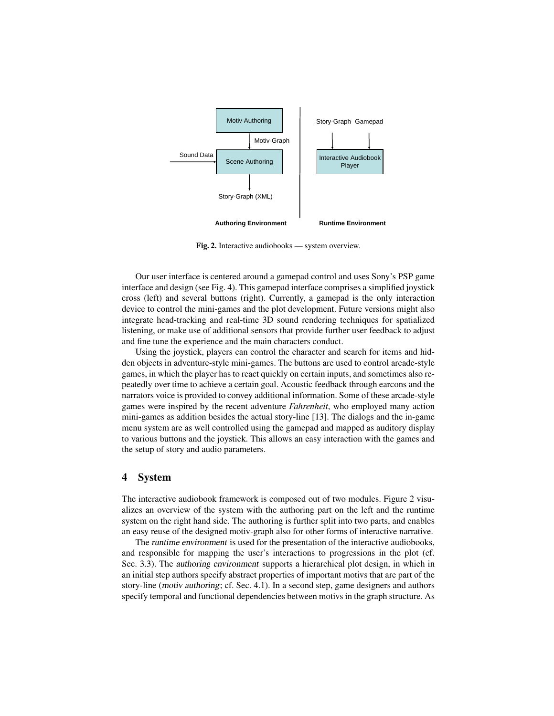

Fig. 2. Interactive audiobooks — system overview.

Our user interface is centered around a gamepad control and uses Sony's PSP game interface and design (see Fig. 4). This gamepad interface comprises a simplified joystick cross (left) and several buttons (right). Currently, a gamepad is the only interaction device to control the mini-games and the plot development. Future versions might also integrate head-tracking and real-time 3D sound rendering techniques for spatialized listening, or make use of additional sensors that provide further user feedback to adjust and fine tune the experience and the main characters conduct.

Using the joystick, players can control the character and search for items and hidden objects in adventure-style mini-games. The buttons are used to control arcade-style games, in which the player has to react quickly on certain inputs, and sometimes also repeatedly over time to achieve a certain goal. Acoustic feedback through earcons and the narrators voice is provided to convey additional information. Some of these arcade-style games were inspired by the recent adventure *Fahrenheit*, who employed many action mini-games as addition besides the actual story-line [13]. The dialogs and the in-game menu system are as well controlled using the gamepad and mapped as auditory display to various buttons and the joystick. This allows an easy interaction with the games and the setup of story and audio parameters.

## 4 System

The interactive audiobook framework is composed out of two modules. Figure 2 visualizes an overview of the system with the authoring part on the left and the runtime system on the right hand side. The authoring is further split into two parts, and enables an easy reuse of the designed motiv-graph also for other forms of interactive narrative.

The runtime environment is used for the presentation of the interactive audiobooks, and responsible for mapping the user's interactions to progressions in the plot (cf. Sec. 3.3). The authoring environment supports a hierarchical plot design, in which in an initial step authors specify abstract properties of important motivs that are part of the story-line (motiv authoring; cf. Sec. 4.1). In a second step, game designers and authors specify temporal and functional dependencies between motivs in the graph structure. As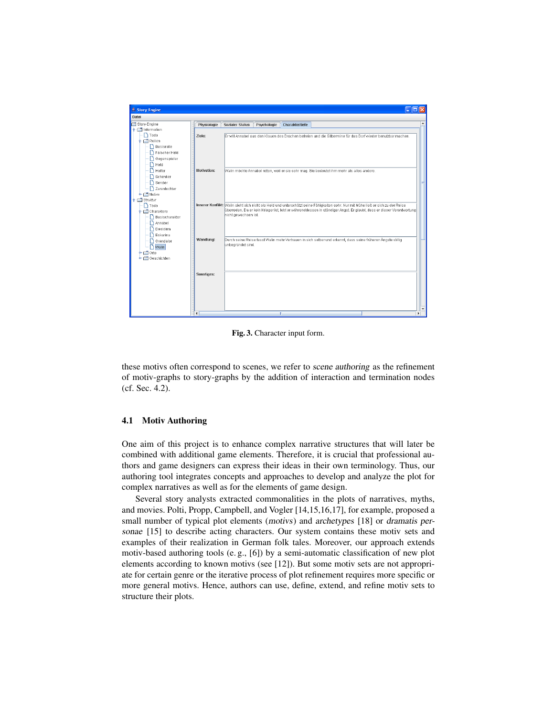

Fig. 3. Character input form.

these motivs often correspond to scenes, we refer to scene authoring as the refinement of motiv-graphs to story-graphs by the addition of interaction and termination nodes (cf. Sec. 4.2).

## 4.1 Motiv Authoring

One aim of this project is to enhance complex narrative structures that will later be combined with additional game elements. Therefore, it is crucial that professional authors and game designers can express their ideas in their own terminology. Thus, our authoring tool integrates concepts and approaches to develop and analyze the plot for complex narratives as well as for the elements of game design.

Several story analysts extracted commonalities in the plots of narratives, myths, and movies. Polti, Propp, Campbell, and Vogler [14,15,16,17], for example, proposed a small number of typical plot elements (motivs) and archetypes [18] or dramatis personae [15] to describe acting characters. Our system contains these motiv sets and examples of their realization in German folk tales. Moreover, our approach extends motiv-based authoring tools (e. g., [6]) by a semi-automatic classification of new plot elements according to known motivs (see [12]). But some motiv sets are not appropriate for certain genre or the iterative process of plot refinement requires more specific or more general motivs. Hence, authors can use, define, extend, and refine motiv sets to structure their plots.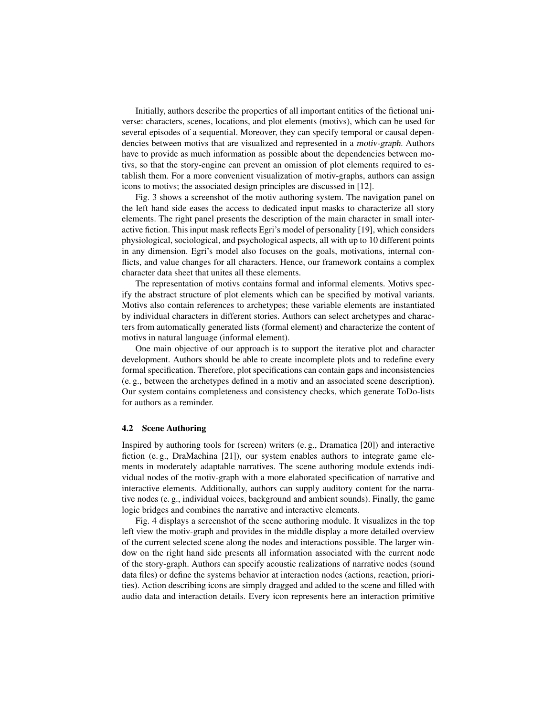Initially, authors describe the properties of all important entities of the fictional universe: characters, scenes, locations, and plot elements (motivs), which can be used for several episodes of a sequential. Moreover, they can specify temporal or causal dependencies between motivs that are visualized and represented in a motiv-graph. Authors have to provide as much information as possible about the dependencies between motivs, so that the story-engine can prevent an omission of plot elements required to establish them. For a more convenient visualization of motiv-graphs, authors can assign icons to motivs; the associated design principles are discussed in [12].

Fig. 3 shows a screenshot of the motiv authoring system. The navigation panel on the left hand side eases the access to dedicated input masks to characterize all story elements. The right panel presents the description of the main character in small interactive fiction. This input mask reflects Egri's model of personality [19], which considers physiological, sociological, and psychological aspects, all with up to 10 different points in any dimension. Egri's model also focuses on the goals, motivations, internal conflicts, and value changes for all characters. Hence, our framework contains a complex character data sheet that unites all these elements.

The representation of motivs contains formal and informal elements. Motivs specify the abstract structure of plot elements which can be specified by motival variants. Motivs also contain references to archetypes; these variable elements are instantiated by individual characters in different stories. Authors can select archetypes and characters from automatically generated lists (formal element) and characterize the content of motivs in natural language (informal element).

One main objective of our approach is to support the iterative plot and character development. Authors should be able to create incomplete plots and to redefine every formal specification. Therefore, plot specifications can contain gaps and inconsistencies (e. g., between the archetypes defined in a motiv and an associated scene description). Our system contains completeness and consistency checks, which generate ToDo-lists for authors as a reminder.

#### 4.2 Scene Authoring

Inspired by authoring tools for (screen) writers (e. g., Dramatica [20]) and interactive fiction (e. g., DraMachina [21]), our system enables authors to integrate game elements in moderately adaptable narratives. The scene authoring module extends individual nodes of the motiv-graph with a more elaborated specification of narrative and interactive elements. Additionally, authors can supply auditory content for the narrative nodes (e. g., individual voices, background and ambient sounds). Finally, the game logic bridges and combines the narrative and interactive elements.

Fig. 4 displays a screenshot of the scene authoring module. It visualizes in the top left view the motiv-graph and provides in the middle display a more detailed overview of the current selected scene along the nodes and interactions possible. The larger window on the right hand side presents all information associated with the current node of the story-graph. Authors can specify acoustic realizations of narrative nodes (sound data files) or define the systems behavior at interaction nodes (actions, reaction, priorities). Action describing icons are simply dragged and added to the scene and filled with audio data and interaction details. Every icon represents here an interaction primitive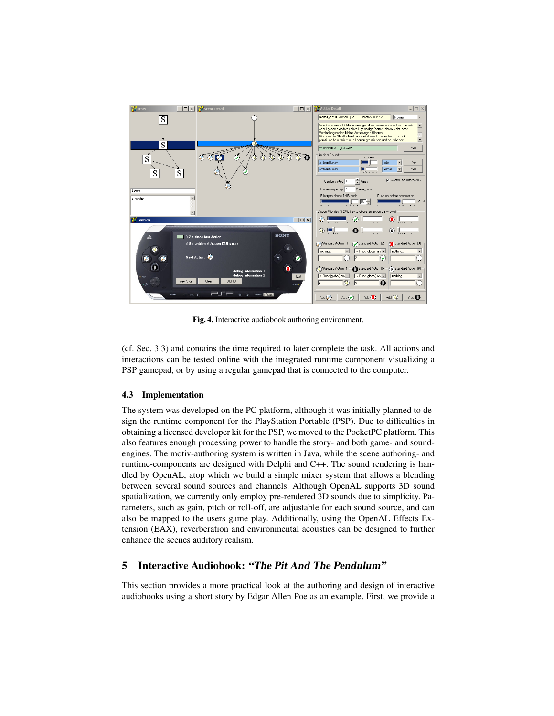

Fig. 4. Interactive audiobook authoring environment.

(cf. Sec. 3.3) and contains the time required to later complete the task. All actions and interactions can be tested online with the integrated runtime component visualizing a PSP gamepad, or by using a regular gamepad that is connected to the computer.

## 4.3 Implementation

The system was developed on the PC platform, although it was initially planned to design the runtime component for the PlayStation Portable (PSP). Due to difficulties in obtaining a licensed developer kit for the PSP, we moved to the PocketPC platform. This also features enough processing power to handle the story- and both game- and soundengines. The motiv-authoring system is written in Java, while the scene authoring- and runtime-components are designed with Delphi and C++. The sound rendering is handled by OpenAL, atop which we build a simple mixer system that allows a blending between several sound sources and channels. Although OpenAL supports 3D sound spatialization, we currently only employ pre-rendered 3D sounds due to simplicity. Parameters, such as gain, pitch or roll-off, are adjustable for each sound source, and can also be mapped to the users game play. Additionally, using the OpenAL Effects Extension (EAX), reverberation and environmental acoustics can be designed to further enhance the scenes auditory realism.

# 5 Interactive Audiobook: "The Pit And The Pendulum"

This section provides a more practical look at the authoring and design of interactive audiobooks using a short story by Edgar Allen Poe as an example. First, we provide a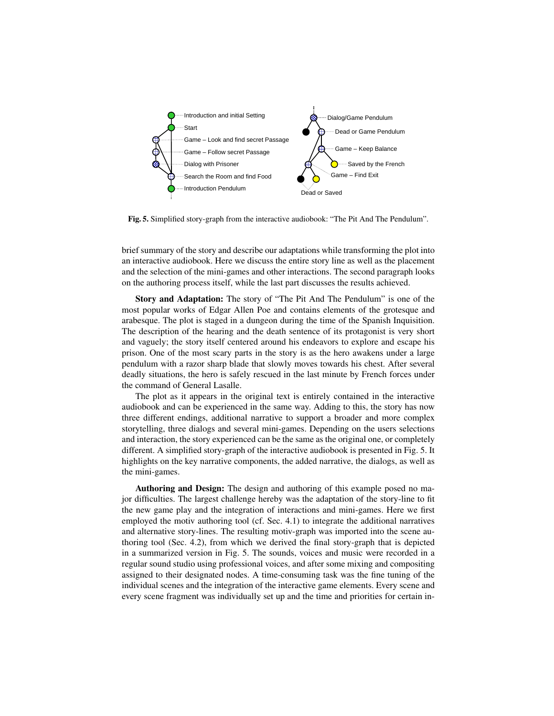

Fig. 5. Simplified story-graph from the interactive audiobook: "The Pit And The Pendulum".

brief summary of the story and describe our adaptations while transforming the plot into an interactive audiobook. Here we discuss the entire story line as well as the placement and the selection of the mini-games and other interactions. The second paragraph looks on the authoring process itself, while the last part discusses the results achieved.

Story and Adaptation: The story of "The Pit And The Pendulum" is one of the most popular works of Edgar Allen Poe and contains elements of the grotesque and arabesque. The plot is staged in a dungeon during the time of the Spanish Inquisition. The description of the hearing and the death sentence of its protagonist is very short and vaguely; the story itself centered around his endeavors to explore and escape his prison. One of the most scary parts in the story is as the hero awakens under a large pendulum with a razor sharp blade that slowly moves towards his chest. After several deadly situations, the hero is safely rescued in the last minute by French forces under the command of General Lasalle.

The plot as it appears in the original text is entirely contained in the interactive audiobook and can be experienced in the same way. Adding to this, the story has now three different endings, additional narrative to support a broader and more complex storytelling, three dialogs and several mini-games. Depending on the users selections and interaction, the story experienced can be the same as the original one, or completely different. A simplified story-graph of the interactive audiobook is presented in Fig. 5. It highlights on the key narrative components, the added narrative, the dialogs, as well as the mini-games.

Authoring and Design: The design and authoring of this example posed no major difficulties. The largest challenge hereby was the adaptation of the story-line to fit the new game play and the integration of interactions and mini-games. Here we first employed the motiv authoring tool (cf. Sec. 4.1) to integrate the additional narratives and alternative story-lines. The resulting motiv-graph was imported into the scene authoring tool (Sec. 4.2), from which we derived the final story-graph that is depicted in a summarized version in Fig. 5. The sounds, voices and music were recorded in a regular sound studio using professional voices, and after some mixing and compositing assigned to their designated nodes. A time-consuming task was the fine tuning of the individual scenes and the integration of the interactive game elements. Every scene and every scene fragment was individually set up and the time and priorities for certain in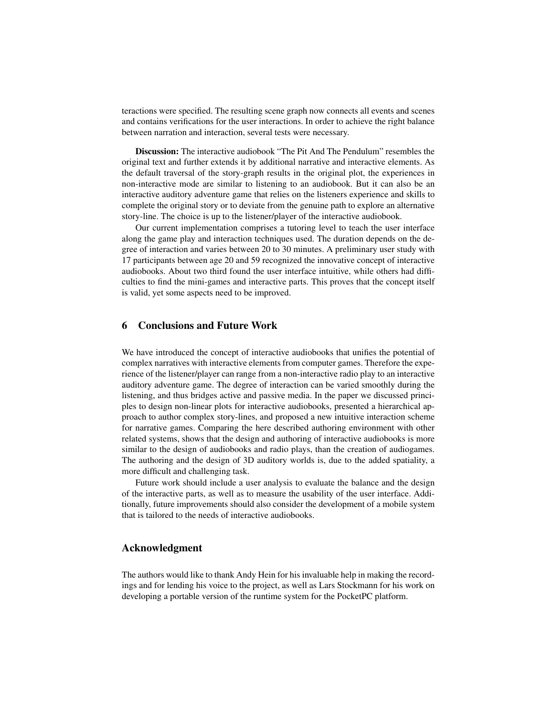teractions were specified. The resulting scene graph now connects all events and scenes and contains verifications for the user interactions. In order to achieve the right balance between narration and interaction, several tests were necessary.

Discussion: The interactive audiobook "The Pit And The Pendulum" resembles the original text and further extends it by additional narrative and interactive elements. As the default traversal of the story-graph results in the original plot, the experiences in non-interactive mode are similar to listening to an audiobook. But it can also be an interactive auditory adventure game that relies on the listeners experience and skills to complete the original story or to deviate from the genuine path to explore an alternative story-line. The choice is up to the listener/player of the interactive audiobook.

Our current implementation comprises a tutoring level to teach the user interface along the game play and interaction techniques used. The duration depends on the degree of interaction and varies between 20 to 30 minutes. A preliminary user study with 17 participants between age 20 and 59 recognized the innovative concept of interactive audiobooks. About two third found the user interface intuitive, while others had difficulties to find the mini-games and interactive parts. This proves that the concept itself is valid, yet some aspects need to be improved.

# 6 Conclusions and Future Work

We have introduced the concept of interactive audiobooks that unifies the potential of complex narratives with interactive elements from computer games. Therefore the experience of the listener/player can range from a non-interactive radio play to an interactive auditory adventure game. The degree of interaction can be varied smoothly during the listening, and thus bridges active and passive media. In the paper we discussed principles to design non-linear plots for interactive audiobooks, presented a hierarchical approach to author complex story-lines, and proposed a new intuitive interaction scheme for narrative games. Comparing the here described authoring environment with other related systems, shows that the design and authoring of interactive audiobooks is more similar to the design of audiobooks and radio plays, than the creation of audiogames. The authoring and the design of 3D auditory worlds is, due to the added spatiality, a more difficult and challenging task.

Future work should include a user analysis to evaluate the balance and the design of the interactive parts, as well as to measure the usability of the user interface. Additionally, future improvements should also consider the development of a mobile system that is tailored to the needs of interactive audiobooks.

## Acknowledgment

The authors would like to thank Andy Hein for his invaluable help in making the recordings and for lending his voice to the project, as well as Lars Stockmann for his work on developing a portable version of the runtime system for the PocketPC platform.